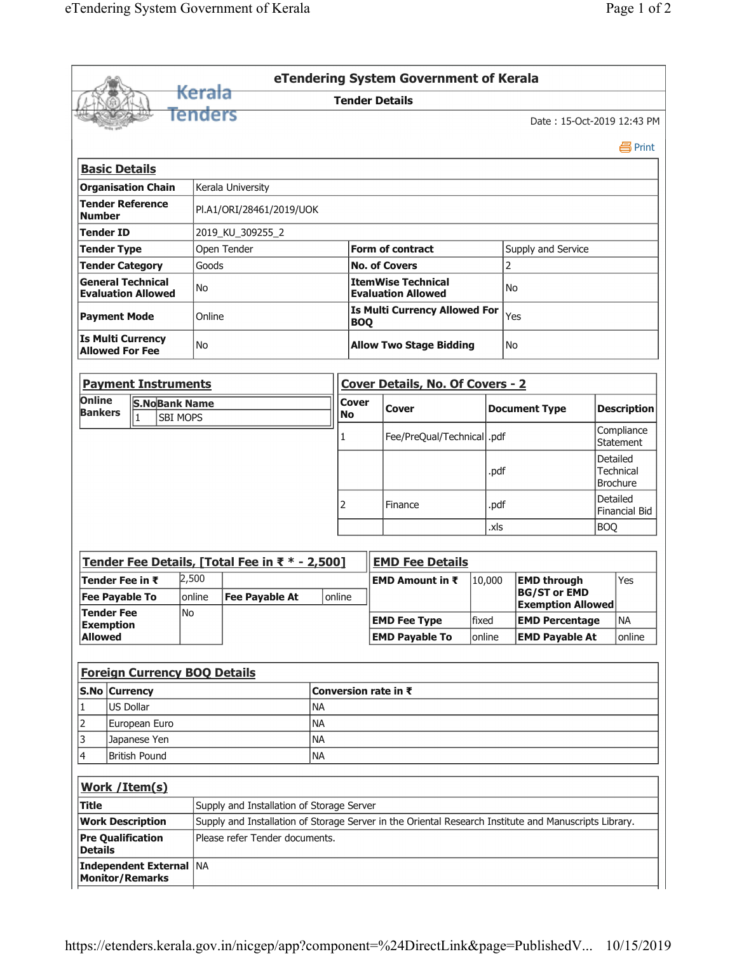| <b>Basic Details</b><br><b>Tender Reference</b><br><b>Number</b> |                                                |                            | Kerala<br>Tenders                   |                                                                                                       |  |              |                                                    |                                                        |        |                              |                                                 |                              |                                              |  |  |  |  |
|------------------------------------------------------------------|------------------------------------------------|----------------------------|-------------------------------------|-------------------------------------------------------------------------------------------------------|--|--------------|----------------------------------------------------|--------------------------------------------------------|--------|------------------------------|-------------------------------------------------|------------------------------|----------------------------------------------|--|--|--|--|
|                                                                  |                                                |                            |                                     |                                                                                                       |  |              |                                                    | <b>Tender Details</b>                                  |        |                              |                                                 |                              |                                              |  |  |  |  |
|                                                                  |                                                |                            |                                     |                                                                                                       |  |              |                                                    |                                                        |        |                              | Date: 15-Oct-2019 12:43 PM                      |                              |                                              |  |  |  |  |
|                                                                  |                                                |                            |                                     |                                                                                                       |  |              |                                                    |                                                        |        |                              |                                                 |                              | 昌 Print                                      |  |  |  |  |
|                                                                  |                                                |                            |                                     |                                                                                                       |  |              |                                                    |                                                        |        |                              |                                                 |                              |                                              |  |  |  |  |
|                                                                  | <b>Organisation Chain</b><br>Kerala University |                            |                                     |                                                                                                       |  |              |                                                    |                                                        |        |                              |                                                 |                              |                                              |  |  |  |  |
|                                                                  |                                                |                            |                                     | PI.A1/ORI/28461/2019/UOK                                                                              |  |              |                                                    |                                                        |        |                              |                                                 |                              |                                              |  |  |  |  |
| <b>Tender ID</b>                                                 |                                                |                            |                                     | 2019_KU_309255_2                                                                                      |  |              |                                                    |                                                        |        |                              |                                                 |                              |                                              |  |  |  |  |
| <b>Tender Type</b>                                               |                                                |                            |                                     | Open Tender                                                                                           |  |              |                                                    | <b>Form of contract</b>                                |        | Supply and Service           |                                                 |                              |                                              |  |  |  |  |
| <b>Tender Category</b>                                           |                                                |                            |                                     | Goods                                                                                                 |  |              |                                                    | <b>No. of Covers</b>                                   |        | 2                            |                                                 |                              |                                              |  |  |  |  |
| <b>General Technical</b>                                         |                                                | <b>Evaluation Allowed</b>  | <b>No</b>                           |                                                                                                       |  |              |                                                    | <b>ItemWise Technical</b><br><b>Evaluation Allowed</b> | No     |                              |                                                 |                              |                                              |  |  |  |  |
| <b>Payment Mode</b>                                              |                                                |                            |                                     | Online                                                                                                |  |              | <b>Is Multi Currency Allowed For</b><br><b>BOQ</b> |                                                        |        |                              | Yes                                             |                              |                                              |  |  |  |  |
| <b>Is Multi Currency</b><br><b>Allowed For Fee</b>               |                                                |                            | No                                  |                                                                                                       |  |              |                                                    | <b>Allow Two Stage Bidding</b>                         |        | No                           |                                                 |                              |                                              |  |  |  |  |
|                                                                  |                                                | <b>Payment Instruments</b> |                                     |                                                                                                       |  |              |                                                    | Cover Details, No. Of Covers - 2                       |        |                              |                                                 |                              |                                              |  |  |  |  |
| Online                                                           |                                                |                            |                                     |                                                                                                       |  | <b>Cover</b> |                                                    |                                                        |        |                              |                                                 |                              |                                              |  |  |  |  |
| <b>Bankers</b>                                                   | <b>S.NoBank Name</b><br>1                      |                            | <b>SBI MOPS</b>                     |                                                                                                       |  | <b>No</b>    |                                                    | Cover                                                  |        |                              | <b>Document Type</b>                            |                              | <b>Description</b>                           |  |  |  |  |
|                                                                  |                                                |                            |                                     |                                                                                                       |  | 1            |                                                    | Fee/PreQual/Technical  .pdf                            |        |                              |                                                 | Compliance<br>Statement      |                                              |  |  |  |  |
|                                                                  |                                                |                            |                                     |                                                                                                       |  |              |                                                    |                                                        |        | .pdf                         |                                                 | Detailed<br><b>Technical</b> |                                              |  |  |  |  |
|                                                                  |                                                |                            |                                     |                                                                                                       |  | 2            |                                                    | Finance                                                | .pdf   |                              |                                                 |                              | <b>Brochure</b><br>Detailed<br>Financial Bid |  |  |  |  |
|                                                                  |                                                |                            |                                     |                                                                                                       |  |              |                                                    |                                                        | .xls   |                              |                                                 | <b>BOQ</b>                   |                                              |  |  |  |  |
|                                                                  |                                                |                            |                                     | Tender Fee Details, [Total Fee in ₹ * - 2,500]                                                        |  |              |                                                    | <b>EMD Fee Details</b>                                 |        |                              |                                                 |                              |                                              |  |  |  |  |
| 2,500<br>Tender Fee in ₹                                         |                                                |                            |                                     |                                                                                                       |  |              | <b>EMD Amount in <math>\bar{x}</math></b>          |                                                        |        | 10,000<br><b>EMD through</b> |                                                 |                              | Yes                                          |  |  |  |  |
| <b>Fee Payable To</b>                                            |                                                |                            | online                              | <b>Fee Payable At</b>                                                                                 |  | online       |                                                    |                                                        |        |                              | <b>BG/ST or EMD</b><br><b>Exemption Allowed</b> |                              |                                              |  |  |  |  |
| <b>Tender Fee</b><br><b>Exemption</b>                            |                                                |                            | No                                  |                                                                                                       |  |              |                                                    | <b>EMD Fee Type</b>                                    | fixed  |                              | <b>EMD Percentage</b>                           |                              | <b>NA</b>                                    |  |  |  |  |
| <b>Allowed</b>                                                   |                                                |                            |                                     |                                                                                                       |  |              |                                                    | <b>EMD Payable To</b>                                  | online |                              | <b>EMD Payable At</b>                           |                              | online                                       |  |  |  |  |
|                                                                  |                                                |                            |                                     |                                                                                                       |  |              |                                                    |                                                        |        |                              |                                                 |                              |                                              |  |  |  |  |
|                                                                  |                                                |                            | <b>Foreign Currency BOQ Details</b> |                                                                                                       |  |              |                                                    |                                                        |        |                              |                                                 |                              |                                              |  |  |  |  |
| S.No Currency                                                    |                                                |                            |                                     |                                                                                                       |  |              |                                                    | Conversion rate in ₹                                   |        |                              |                                                 |                              |                                              |  |  |  |  |
| 1                                                                | <b>US Dollar</b>                               |                            |                                     | <b>NA</b>                                                                                             |  |              |                                                    |                                                        |        |                              |                                                 |                              |                                              |  |  |  |  |
| $\overline{2}$                                                   |                                                | European Euro              |                                     | <b>NA</b>                                                                                             |  |              |                                                    |                                                        |        |                              |                                                 |                              |                                              |  |  |  |  |
| 3                                                                | Japanese Yen<br><b>NA</b>                      |                            |                                     |                                                                                                       |  |              |                                                    |                                                        |        |                              |                                                 |                              |                                              |  |  |  |  |
| 4<br><b>British Pound</b><br><b>NA</b>                           |                                                |                            |                                     |                                                                                                       |  |              |                                                    |                                                        |        |                              |                                                 |                              |                                              |  |  |  |  |
| <b>Work / Item(s)</b>                                            |                                                |                            |                                     |                                                                                                       |  |              |                                                    |                                                        |        |                              |                                                 |                              |                                              |  |  |  |  |
| Title                                                            |                                                |                            |                                     | Supply and Installation of Storage Server                                                             |  |              |                                                    |                                                        |        |                              |                                                 |                              |                                              |  |  |  |  |
| <b>Work Description</b>                                          |                                                |                            |                                     | Supply and Installation of Storage Server in the Oriental Research Institute and Manuscripts Library. |  |              |                                                    |                                                        |        |                              |                                                 |                              |                                              |  |  |  |  |
| <b>Pre Qualification</b><br><b>Details</b>                       |                                                |                            |                                     | Please refer Tender documents.                                                                        |  |              |                                                    |                                                        |        |                              |                                                 |                              |                                              |  |  |  |  |
| <b>Monitor/Remarks</b>                                           |                                                | Independent External NA    |                                     |                                                                                                       |  |              |                                                    |                                                        |        |                              |                                                 |                              |                                              |  |  |  |  |